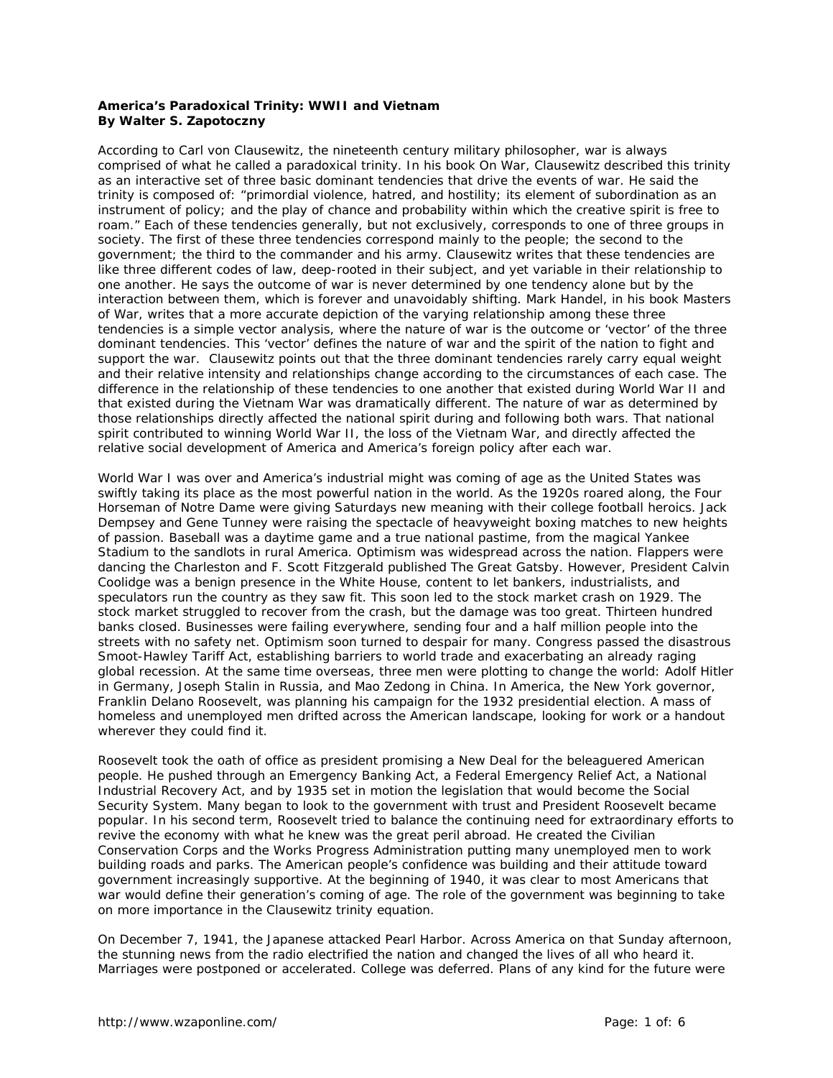## **America's Paradoxical Trinity: WWII and Vietnam By Walter S. Zapotoczny**

According to Carl von Clausewitz, the nineteenth century military philosopher, war is always comprised of what he called a paradoxical trinity. In his book *On War*, Clausewitz described this trinity as an interactive set of three basic dominant tendencies that drive the events of war. He said the trinity is composed of: "primordial violence, hatred, and hostility; its element of subordination as an instrument of policy; and the play of chance and probability within which the creative spirit is free to roam." Each of these tendencies generally, but not exclusively, corresponds to one of three groups in society. The first of these three tendencies correspond mainly to the people; the second to the government; the third to the commander and his army. Clausewitz writes that these tendencies are like three different codes of law, deep-rooted in their subject, and yet variable in their relationship to one another. He says the outcome of war is never determined by one tendency alone but by the interaction between them, which is forever and unavoidably shifting. Mark Handel, in his book *Masters of War*, writes that a more accurate depiction of the varying relationship among these three tendencies is a simple vector analysis, where the nature of war is the outcome or 'vector' of the three dominant tendencies. This 'vector' defines the nature of war and the spirit of the nation to fight and support the war. Clausewitz points out that the three dominant tendencies rarely carry equal weight and their relative intensity and relationships change according to the circumstances of each case. The difference in the relationship of these tendencies to one another that existed during World War II and that existed during the Vietnam War was dramatically different. The nature of war as determined by those relationships directly affected the national spirit during and following both wars. That national spirit contributed to winning World War II, the loss of the Vietnam War, and directly affected the relative social development of America and America's foreign policy after each war.

World War I was over and America's industrial might was coming of age as the United States was swiftly taking its place as the most powerful nation in the world. As the 1920s roared along, the Four Horseman of Notre Dame were giving Saturdays new meaning with their college football heroics. Jack Dempsey and Gene Tunney were raising the spectacle of heavyweight boxing matches to new heights of passion. Baseball was a daytime game and a true national pastime, from the magical Yankee Stadium to the sandlots in rural America. Optimism was widespread across the nation. Flappers were dancing the Charleston and F. Scott Fitzgerald published *The Great Gatsby*. However, President Calvin Coolidge was a benign presence in the White House, content to let bankers, industrialists, and speculators run the country as they saw fit. This soon led to the stock market crash on 1929. The stock market struggled to recover from the crash, but the damage was too great. Thirteen hundred banks closed. Businesses were failing everywhere, sending four and a half million people into the streets with no safety net. Optimism soon turned to despair for many. Congress passed the disastrous Smoot-Hawley Tariff Act, establishing barriers to world trade and exacerbating an already raging global recession. At the same time overseas, three men were plotting to change the world: Adolf Hitler in Germany, Joseph Stalin in Russia, and Mao Zedong in China. In America, the New York governor, Franklin Delano Roosevelt, was planning his campaign for the 1932 presidential election. A mass of homeless and unemployed men drifted across the American landscape, looking for work or a handout wherever they could find it.

Roosevelt took the oath of office as president promising a New Deal for the beleaguered American people. He pushed through an Emergency Banking Act, a Federal Emergency Relief Act, a National Industrial Recovery Act, and by 1935 set in motion the legislation that would become the Social Security System. Many began to look to the government with trust and President Roosevelt became popular. In his second term, Roosevelt tried to balance the continuing need for extraordinary efforts to revive the economy with what he knew was the great peril abroad. He created the Civilian Conservation Corps and the Works Progress Administration putting many unemployed men to work building roads and parks. The American people's confidence was building and their attitude toward government increasingly supportive. At the beginning of 1940, it was clear to most Americans that war would define their generation's coming of age. The role of the government was beginning to take on more importance in the Clausewitz trinity equation.

On December 7, 1941, the Japanese attacked Pearl Harbor. Across America on that Sunday afternoon, the stunning news from the radio electrified the nation and changed the lives of all who heard it. Marriages were postponed or accelerated. College was deferred. Plans of any kind for the future were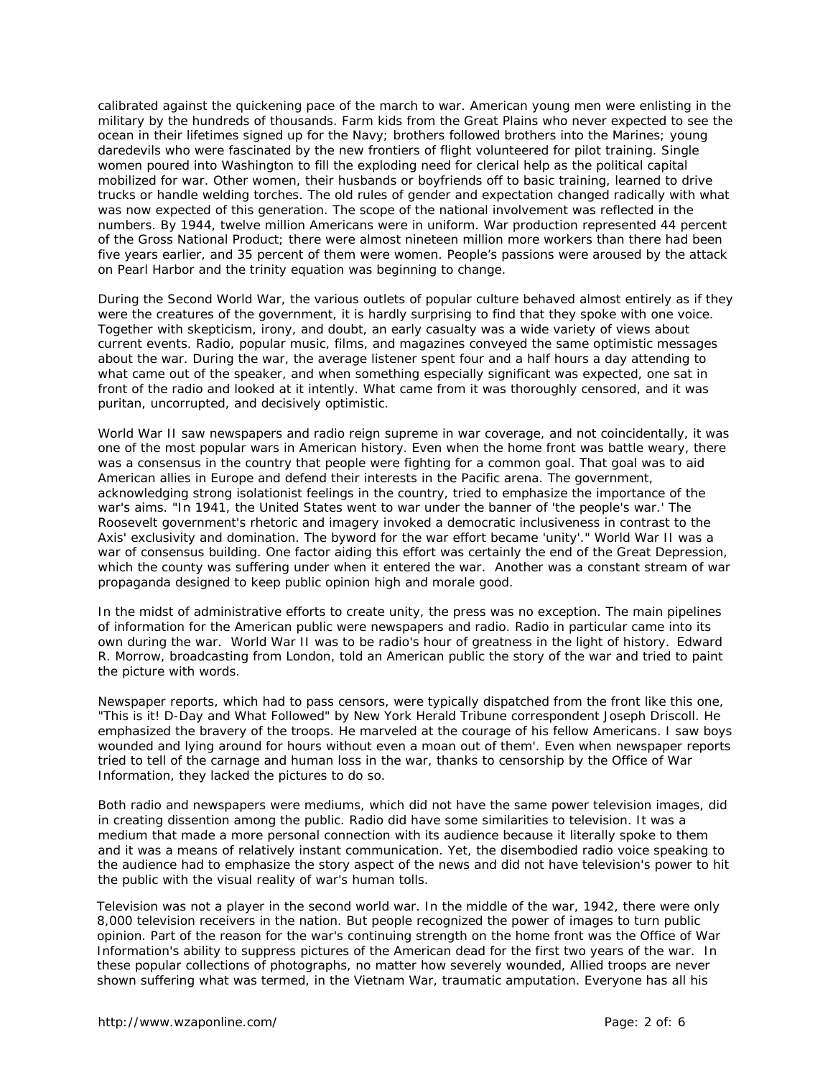calibrated against the quickening pace of the march to war. American young men were enlisting in the military by the hundreds of thousands. Farm kids from the Great Plains who never expected to see the ocean in their lifetimes signed up for the Navy; brothers followed brothers into the Marines; young daredevils who were fascinated by the new frontiers of flight volunteered for pilot training. Single women poured into Washington to fill the exploding need for clerical help as the political capital mobilized for war. Other women, their husbands or boyfriends off to basic training, learned to drive trucks or handle welding torches. The old rules of gender and expectation changed radically with what was now expected of this generation. The scope of the national involvement was reflected in the numbers. By 1944, twelve million Americans were in uniform. War production represented 44 percent of the Gross National Product; there were almost nineteen million more workers than there had been five years earlier, and 35 percent of them were women. People's passions were aroused by the attack on Pearl Harbor and the trinity equation was beginning to change.

During the Second World War, the various outlets of popular culture behaved almost entirely as if they were the creatures of the government, it is hardly surprising to find that they spoke with one voice. Together with skepticism, irony, and doubt, an early casualty was a wide variety of views about current events. Radio, popular music, films, and magazines conveyed the same optimistic messages about the war. During the war, the average listener spent four and a half hours a day attending to what came out of the speaker, and when something especially significant was expected, one sat in front of the radio and looked at it intently. What came from it was thoroughly censored, and it was puritan, uncorrupted, and decisively optimistic.

World War II saw newspapers and radio reign supreme in war coverage, and not coincidentally, it was one of the most popular wars in American history. Even when the home front was battle weary, there was a consensus in the country that people were fighting for a common goal. That goal was to aid American allies in Europe and defend their interests in the Pacific arena. The government, acknowledging strong isolationist feelings in the country, tried to emphasize the importance of the war's aims. "In 1941, the United States went to war under the banner of 'the people's war.' The Roosevelt government's rhetoric and imagery invoked a democratic inclusiveness in contrast to the Axis' exclusivity and domination. The byword for the war effort became 'unity'." World War II was a war of consensus building. One factor aiding this effort was certainly the end of the Great Depression, which the county was suffering under when it entered the war. Another was a constant stream of war propaganda designed to keep public opinion high and morale good.

In the midst of administrative efforts to create unity, the press was no exception. The main pipelines of information for the American public were newspapers and radio. Radio in particular came into its own during the war. World War II was to be radio's hour of greatness in the light of history. Edward R. Morrow, broadcasting from London, told an American public the story of the war and tried to paint the picture with words.

Newspaper reports, which had to pass censors, were typically dispatched from the front like this one, "This is it! D-Day and What Followed" by *New York Herald Tribune* correspondent Joseph Driscoll. He emphasized the bravery of the troops. He marveled at the courage of his fellow Americans. I saw boys wounded and lying around for hours without even a moan out of them'. Even when newspaper reports tried to tell of the carnage and human loss in the war, thanks to censorship by the Office of War Information, they lacked the pictures to do so.

Both radio and newspapers were mediums, which did not have the same power television images, did in creating dissention among the public. Radio did have some similarities to television. It was a medium that made a more personal connection with its audience because it literally spoke to them and it was a means of relatively instant communication. Yet, the disembodied radio voice speaking to the audience had to emphasize the story aspect of the news and did not have television's power to hit the public with the visual reality of war's human tolls.

Television was not a player in the second world war. In the middle of the war, 1942, there were only 8,000 television receivers in the nation. But people recognized the power of images to turn public opinion. Part of the reason for the war's continuing strength on the home front was the Office of War Information's ability to suppress pictures of the American dead for the first two years of the war. In these popular collections of photographs, no matter how severely wounded, Allied troops are never shown suffering what was termed, in the Vietnam War, traumatic amputation. Everyone has all his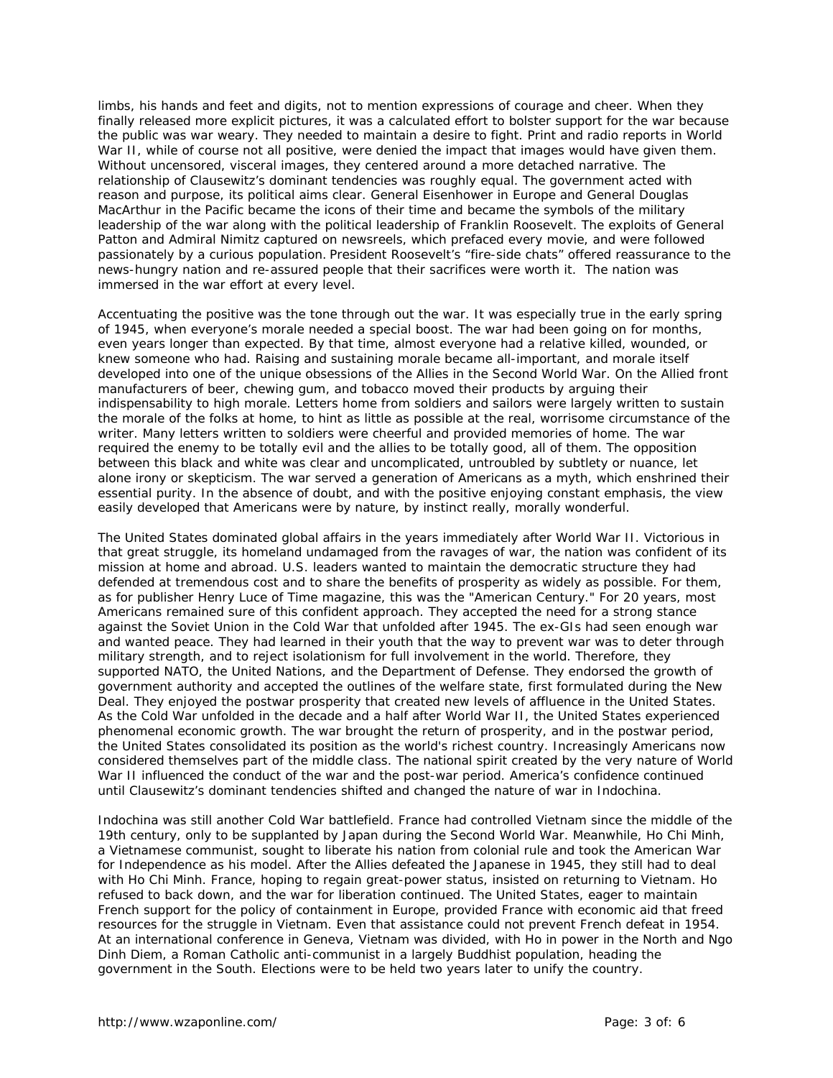limbs, his hands and feet and digits, not to mention expressions of courage and cheer. When they finally released more explicit pictures, it was a calculated effort to bolster support for the war because the public was war weary. They needed to maintain a desire to fight. Print and radio reports in World War II, while of course not all positive, were denied the impact that images would have given them. Without uncensored, visceral images, they centered around a more detached narrative. The relationship of Clausewitz's dominant tendencies was roughly equal. The government acted with reason and purpose, its political aims clear. General Eisenhower in Europe and General Douglas MacArthur in the Pacific became the icons of their time and became the symbols of the military leadership of the war along with the political leadership of Franklin Roosevelt. The exploits of General Patton and Admiral Nimitz captured on newsreels, which prefaced every movie, and were followed passionately by a curious population. President Roosevelt's "fire-side chats" offered reassurance to the news-hungry nation and re-assured people that their sacrifices were worth it. The nation was immersed in the war effort at every level.

Accentuating the positive was the tone through out the war. It was especially true in the early spring of 1945, when everyone's morale needed a special boost. The war had been going on for months, even years longer than expected. By that time, almost everyone had a relative killed, wounded, or knew someone who had. Raising and sustaining morale became all-important, and morale itself developed into one of the unique obsessions of the Allies in the Second World War. On the Allied front manufacturers of beer, chewing gum, and tobacco moved their products by arguing their indispensability to high morale. Letters home from soldiers and sailors were largely written to sustain the morale of the folks at home, to hint as little as possible at the real, worrisome circumstance of the writer. Many letters written to soldiers were cheerful and provided memories of home. The war required the enemy to be totally evil and the allies to be totally good, all of them. The opposition between this black and white was clear and uncomplicated, untroubled by subtlety or nuance, let alone irony or skepticism. The war served a generation of Americans as a myth, which enshrined their essential purity. In the absence of doubt, and with the positive enjoying constant emphasis, the view easily developed that Americans were by nature, by instinct really, morally wonderful.

The United States dominated global affairs in the years immediately after World War II. Victorious in that great struggle, its homeland undamaged from the ravages of war, the nation was confident of its mission at home and abroad. U.S. leaders wanted to maintain the democratic structure they had defended at tremendous cost and to share the benefits of prosperity as widely as possible. For them, as for publisher Henry Luce of Time magazine, this was the "American Century." For 20 years, most Americans remained sure of this confident approach. They accepted the need for a strong stance against the Soviet Union in the Cold War that unfolded after 1945. The ex-GIs had seen enough war and wanted peace. They had learned in their youth that the way to prevent war was to deter through military strength, and to reject isolationism for full involvement in the world. Therefore, they supported NATO, the United Nations, and the Department of Defense. They endorsed the growth of government authority and accepted the outlines of the welfare state, first formulated during the New Deal. They enjoyed the postwar prosperity that created new levels of affluence in the United States. As the Cold War unfolded in the decade and a half after World War II, the United States experienced phenomenal economic growth. The war brought the return of prosperity, and in the postwar period, the United States consolidated its position as the world's richest country. Increasingly Americans now considered themselves part of the middle class. The national spirit created by the very nature of World War II influenced the conduct of the war and the post-war period. America's confidence continued until Clausewitz's dominant tendencies shifted and changed the nature of war in Indochina.

Indochina was still another Cold War battlefield. France had controlled Vietnam since the middle of the 19th century, only to be supplanted by Japan during the Second World War. Meanwhile, Ho Chi Minh, a Vietnamese communist, sought to liberate his nation from colonial rule and took the American War for Independence as his model. After the Allies defeated the Japanese in 1945, they still had to deal with Ho Chi Minh. France, hoping to regain great-power status, insisted on returning to Vietnam. Ho refused to back down, and the war for liberation continued. The United States, eager to maintain French support for the policy of containment in Europe, provided France with economic aid that freed resources for the struggle in Vietnam. Even that assistance could not prevent French defeat in 1954. At an international conference in Geneva, Vietnam was divided, with Ho in power in the North and Ngo Dinh Diem, a Roman Catholic anti-communist in a largely Buddhist population, heading the government in the South. Elections were to be held two years later to unify the country.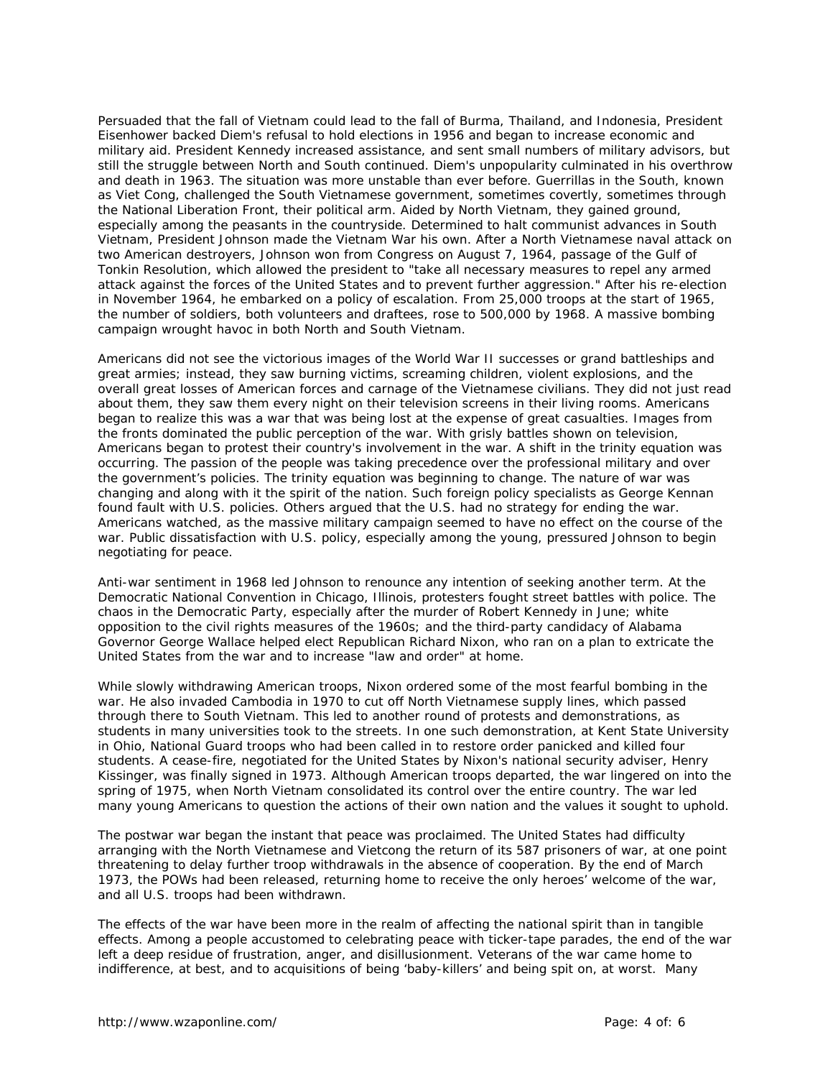Persuaded that the fall of Vietnam could lead to the fall of Burma, Thailand, and Indonesia, President Eisenhower backed Diem's refusal to hold elections in 1956 and began to increase economic and military aid. President Kennedy increased assistance, and sent small numbers of military advisors, but still the struggle between North and South continued. Diem's unpopularity culminated in his overthrow and death in 1963. The situation was more unstable than ever before. Guerrillas in the South, known as Viet Cong, challenged the South Vietnamese government, sometimes covertly, sometimes through the National Liberation Front, their political arm. Aided by North Vietnam, they gained ground, especially among the peasants in the countryside. Determined to halt communist advances in South Vietnam, President Johnson made the Vietnam War his own. After a North Vietnamese naval attack on two American destroyers, Johnson won from Congress on August 7, 1964, passage of the Gulf of Tonkin Resolution, which allowed the president to "take all necessary measures to repel any armed attack against the forces of the United States and to prevent further aggression." After his re-election in November 1964, he embarked on a policy of escalation. From 25,000 troops at the start of 1965, the number of soldiers, both volunteers and draftees, rose to 500,000 by 1968. A massive bombing campaign wrought havoc in both North and South Vietnam.

Americans did not see the victorious images of the World War II successes or grand battleships and great armies; instead, they saw burning victims, screaming children, violent explosions, and the overall great losses of American forces and carnage of the Vietnamese civilians. They did not just read about them, they saw them every night on their television screens in their living rooms. Americans began to realize this was a war that was being lost at the expense of great casualties. Images from the fronts dominated the public perception of the war. With grisly battles shown on television, Americans began to protest their country's involvement in the war. A shift in the trinity equation was occurring. The passion of the people was taking precedence over the professional military and over the government's policies. The trinity equation was beginning to change. The nature of war was changing and along with it the spirit of the nation. Such foreign policy specialists as George Kennan found fault with U.S. policies. Others argued that the U.S. had no strategy for ending the war. Americans watched, as the massive military campaign seemed to have no effect on the course of the war. Public dissatisfaction with U.S. policy, especially among the young, pressured Johnson to begin negotiating for peace.

Anti-war sentiment in 1968 led Johnson to renounce any intention of seeking another term. At the Democratic National Convention in Chicago, Illinois, protesters fought street battles with police. The chaos in the Democratic Party, especially after the murder of Robert Kennedy in June; white opposition to the civil rights measures of the 1960s; and the third-party candidacy of Alabama Governor George Wallace helped elect Republican Richard Nixon, who ran on a plan to extricate the United States from the war and to increase "law and order" at home.

While slowly withdrawing American troops, Nixon ordered some of the most fearful bombing in the war. He also invaded Cambodia in 1970 to cut off North Vietnamese supply lines, which passed through there to South Vietnam. This led to another round of protests and demonstrations, as students in many universities took to the streets. In one such demonstration, at Kent State University in Ohio, National Guard troops who had been called in to restore order panicked and killed four students. A cease-fire, negotiated for the United States by Nixon's national security adviser, Henry Kissinger, was finally signed in 1973. Although American troops departed, the war lingered on into the spring of 1975, when North Vietnam consolidated its control over the entire country. The war led many young Americans to question the actions of their own nation and the values it sought to uphold.

The postwar war began the instant that peace was proclaimed. The United States had difficulty arranging with the North Vietnamese and Vietcong the return of its 587 prisoners of war, at one point threatening to delay further troop withdrawals in the absence of cooperation. By the end of March 1973, the POWs had been released, returning home to receive the only heroes' welcome of the war, and all U.S. troops had been withdrawn.

The effects of the war have been more in the realm of affecting the national spirit than in tangible effects. Among a people accustomed to celebrating peace with ticker-tape parades, the end of the war left a deep residue of frustration, anger, and disillusionment. Veterans of the war came home to indifference, at best, and to acquisitions of being 'baby-killers' and being spit on, at worst. Many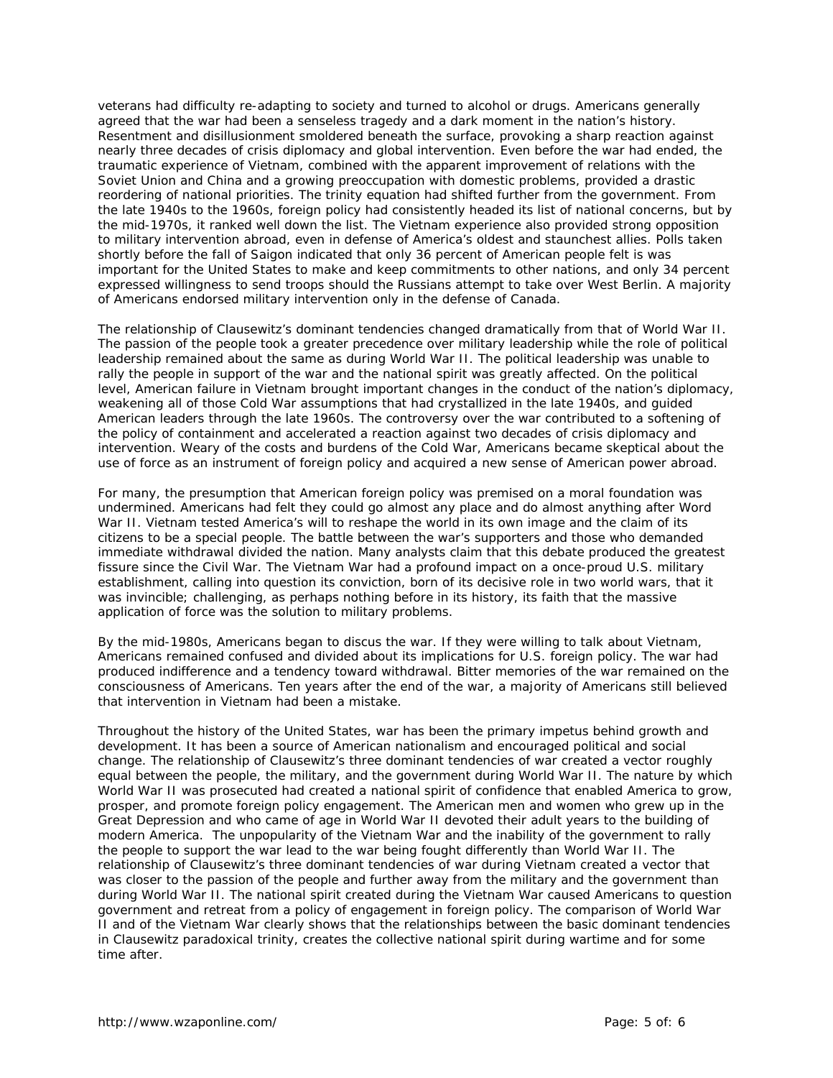veterans had difficulty re-adapting to society and turned to alcohol or drugs. Americans generally agreed that the war had been a senseless tragedy and a dark moment in the nation's history. Resentment and disillusionment smoldered beneath the surface, provoking a sharp reaction against nearly three decades of crisis diplomacy and global intervention. Even before the war had ended, the traumatic experience of Vietnam, combined with the apparent improvement of relations with the Soviet Union and China and a growing preoccupation with domestic problems, provided a drastic reordering of national priorities. The trinity equation had shifted further from the government. From the late 1940s to the 1960s, foreign policy had consistently headed its list of national concerns, but by the mid-1970s, it ranked well down the list. The Vietnam experience also provided strong opposition to military intervention abroad, even in defense of America's oldest and staunchest allies. Polls taken shortly before the fall of Saigon indicated that only 36 percent of American people felt is was important for the United States to make and keep commitments to other nations, and only 34 percent expressed willingness to send troops should the Russians attempt to take over West Berlin. A majority of Americans endorsed military intervention only in the defense of Canada.

The relationship of Clausewitz's dominant tendencies changed dramatically from that of World War II. The passion of the people took a greater precedence over military leadership while the role of political leadership remained about the same as during World War II. The political leadership was unable to rally the people in support of the war and the national spirit was greatly affected. On the political level, American failure in Vietnam brought important changes in the conduct of the nation's diplomacy, weakening all of those Cold War assumptions that had crystallized in the late 1940s, and guided American leaders through the late 1960s. The controversy over the war contributed to a softening of the policy of containment and accelerated a reaction against two decades of crisis diplomacy and intervention. Weary of the costs and burdens of the Cold War, Americans became skeptical about the use of force as an instrument of foreign policy and acquired a new sense of American power abroad.

For many, the presumption that American foreign policy was premised on a moral foundation was undermined. Americans had felt they could go almost any place and do almost anything after Word War II. Vietnam tested America's will to reshape the world in its own image and the claim of its citizens to be a special people. The battle between the war's supporters and those who demanded immediate withdrawal divided the nation. Many analysts claim that this debate produced the greatest fissure since the Civil War. The Vietnam War had a profound impact on a once-proud U.S. military establishment, calling into question its conviction, born of its decisive role in two world wars, that it was invincible; challenging, as perhaps nothing before in its history, its faith that the massive application of force was the solution to military problems.

By the mid-1980s, Americans began to discus the war. If they were willing to talk about Vietnam, Americans remained confused and divided about its implications for U.S. foreign policy. The war had produced indifference and a tendency toward withdrawal. Bitter memories of the war remained on the consciousness of Americans. Ten years after the end of the war, a majority of Americans still believed that intervention in Vietnam had been a mistake.

Throughout the history of the United States, war has been the primary impetus behind growth and development. It has been a source of American nationalism and encouraged political and social change. The relationship of Clausewitz's three dominant tendencies of war created a vector roughly equal between the people, the military, and the government during World War II. The nature by which World War II was prosecuted had created a national spirit of confidence that enabled America to grow, prosper, and promote foreign policy engagement. The American men and women who grew up in the Great Depression and who came of age in World War II devoted their adult years to the building of modern America. The unpopularity of the Vietnam War and the inability of the government to rally the people to support the war lead to the war being fought differently than World War II. The relationship of Clausewitz's three dominant tendencies of war during Vietnam created a vector that was closer to the passion of the people and further away from the military and the government than during World War II. The national spirit created during the Vietnam War caused Americans to question government and retreat from a policy of engagement in foreign policy. The comparison of World War II and of the Vietnam War clearly shows that the relationships between the basic dominant tendencies in Clausewitz paradoxical trinity, creates the collective national spirit during wartime and for some time after.